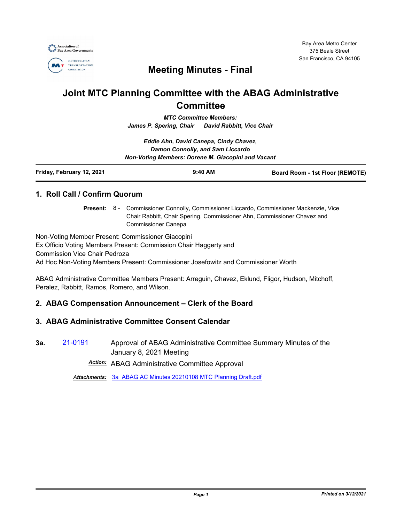

## **Meeting Minutes - Final**

# **Joint MTC Planning Committee with the ABAG Administrative Committee**

*MTC Committee Members: James P. Spering, Chair David Rabbitt, Vice Chair*

*Eddie Ahn, David Canepa, Cindy Chavez, Damon Connolly, and Sam Liccardo Non-Voting Members: Dorene M. Giacopini and Vacant*

| Friday, February 12, 2021 | $9:40$ AM | <b>Board Room - 1st Floor (REMOTE)</b> |
|---------------------------|-----------|----------------------------------------|
|                           |           |                                        |

## **1. Roll Call / Confirm Quorum**

Present: 8 - Commissioner Connolly, Commissioner Liccardo, Commissioner Mackenzie, Vice Chair Rabbitt, Chair Spering, Commissioner Ahn, Commissioner Chavez and Commissioner Canepa

Non-Voting Member Present: Commissioner Giacopini Ex Officio Voting Members Present: Commission Chair Haggerty and Commission Vice Chair Pedroza Ad Hoc Non-Voting Members Present: Commissioner Josefowitz and Commissioner Worth

ABAG Administrative Committee Members Present: Arreguin, Chavez, Eklund, Fligor, Hudson, Mitchoff, Peralez, Rabbitt, Ramos, Romero, and Wilson.

## **2. ABAG Compensation Announcement – Clerk of the Board**

## **3. ABAG Administrative Committee Consent Calendar**

**3a.** [21-0191](http://mtc.legistar.com/gateway.aspx?m=l&id=/matter.aspx?key=21784) Approval of ABAG Administrative Committee Summary Minutes of the January 8, 2021 Meeting

*Action:* ABAG Administrative Committee Approval

*Attachments:* [3a\\_ABAG AC Minutes 20210108 MTC Planning Draft.pdf](http://mtc.legistar.com/gateway.aspx?M=F&ID=27f3b243-9633-4017-b72c-ded8f6fac4c5.pdf)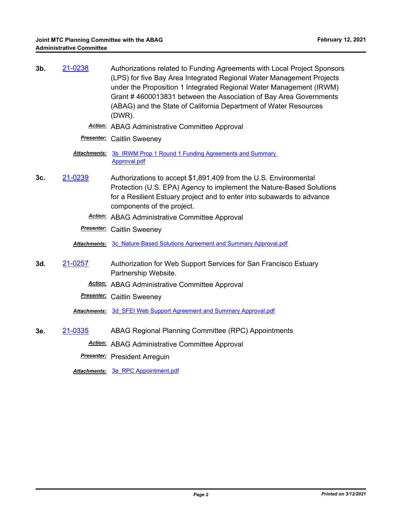| $3b$ . | 21-0238             | Authorizations related to Funding Agreements with Local Project Sponsors<br>(LPS) for five Bay Area Integrated Regional Water Management Projects<br>under the Proposition 1 Integrated Regional Water Management (IRWM)<br>Grant #4600013831 between the Association of Bay Area Governments<br>(ABAG) and the State of California Department of Water Resources<br>$(DWR)$ . |
|--------|---------------------|--------------------------------------------------------------------------------------------------------------------------------------------------------------------------------------------------------------------------------------------------------------------------------------------------------------------------------------------------------------------------------|
|        |                     | <b>Action:</b> ABAG Administrative Committee Approval                                                                                                                                                                                                                                                                                                                          |
|        |                     | <b>Presenter:</b> Caitlin Sweeney                                                                                                                                                                                                                                                                                                                                              |
|        | <b>Attachments:</b> | 3b IRWM Prop 1 Round 1 Funding Agreements and Summary<br>Approval.pdf                                                                                                                                                                                                                                                                                                          |
| 3c.    | 21-0239             | Authorizations to accept \$1,891,409 from the U.S. Environmental<br>Protection (U.S. EPA) Agency to implement the Nature-Based Solutions<br>for a Resilient Estuary project and to enter into subawards to advance<br>components of the project.                                                                                                                               |
|        |                     | <b>Action:</b> ABAG Administrative Committee Approval                                                                                                                                                                                                                                                                                                                          |
|        |                     | <b>Presenter:</b> Caitlin Sweeney                                                                                                                                                                                                                                                                                                                                              |
|        |                     | Attachments: 3c Nature-Based Solutions Agreement and Summary Approval.pdf                                                                                                                                                                                                                                                                                                      |
| 3d.    | 21-0257             | Authorization for Web Support Services for San Francisco Estuary<br>Partnership Website.                                                                                                                                                                                                                                                                                       |
|        |                     | <b>Action:</b> ABAG Administrative Committee Approval                                                                                                                                                                                                                                                                                                                          |
|        |                     | <b>Presenter:</b> Caitlin Sweeney                                                                                                                                                                                                                                                                                                                                              |

*Attachments:* [3d\\_SFEI Web Support Agreement and Summary Approval.pdf](http://mtc.legistar.com/gateway.aspx?M=F&ID=327f3e4b-e965-4f04-81ed-846ebc2bfa71.pdf)

**3e.** [21-0335](http://mtc.legistar.com/gateway.aspx?m=l&id=/matter.aspx?key=21928) ABAG Regional Planning Committee (RPC) Appointments *Action:* ABAG Administrative Committee Approval

*Presenter:* President Arreguin

*Attachments:* [3e\\_RPC Appointment.pdf](http://mtc.legistar.com/gateway.aspx?M=F&ID=bc2f8382-5736-43b4-aaa8-f08737e47eb0.pdf)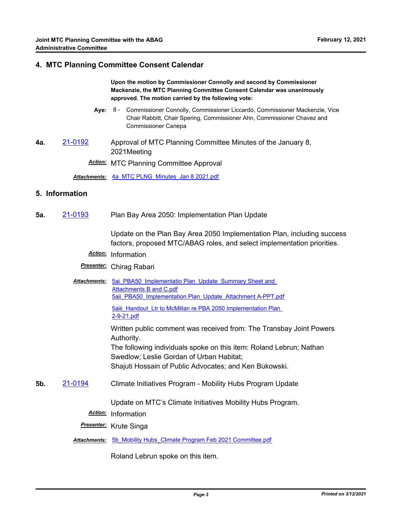#### **4. MTC Planning Committee Consent Calendar**

**Upon the motion by Commissioner Connolly and second by Commissioner Mackenzie, the MTC Planning Committee Consent Calendar was unanimously approved. The motion carried by the following vote:**

- **Aye:** Commissioner Connolly, Commissioner Liccardo, Commissioner Mackenzie, Vice Chair Rabbitt, Chair Spering, Commissioner Ahn, Commissioner Chavez and Commissioner Canepa Aye: 8 -
- **4a.** [21-0192](http://mtc.legistar.com/gateway.aspx?m=l&id=/matter.aspx?key=21785) Approval of MTC Planning Committee Minutes of the January 8, 2021Meeting

*Action:* MTC Planning Committee Approval

*Attachments:* [4a\\_MTC PLNG\\_Minutes\\_Jan 8 2021.pdf](http://mtc.legistar.com/gateway.aspx?M=F&ID=1879df0a-224a-4066-8e60-0608db5b632f.pdf)

#### **5. Information**

**5a.** [21-0193](http://mtc.legistar.com/gateway.aspx?m=l&id=/matter.aspx?key=21786) Plan Bay Area 2050: Implementation Plan Update

Update on the Plan Bay Area 2050 Implementation Plan, including success factors, proposed MTC/ABAG roles, and select implementation priorities.

- *Action:* Information
- *Presenter:* Chirag Rabari
- Attachments: 5ai PBA50 Implementatio Plan Update Summary Sheet and Attachments B and C.pdf [5aii\\_PBA50\\_Implementation Plan\\_Update\\_Attachment A-PPT.pdf](http://mtc.legistar.com/gateway.aspx?M=F&ID=dc8f4c0b-8aeb-424d-b2b2-0d2ed6aaafce.pdf)

5aiii Handout Ltr to McMillan re PBA 2050 Implementation Plan 2-9-21.pdf

Written public comment was received from: The Transbay Joint Powers Authority.

The following individuals spoke on this item: Roland Lebrun; Nathan Swedlow; Leslie Gordan of Urban Habitat; Shajuti Hossain of Public Advocates; and Ken Bukowski.

**5b.** [21-0194](http://mtc.legistar.com/gateway.aspx?m=l&id=/matter.aspx?key=21787) Climate Initiatives Program - Mobility Hubs Program Update

Update on MTC's Climate Initiatives Mobility Hubs Program.

*Action:* Information

*Presenter:* Krute Singa

Attachments: 5b Mobility Hubs Climate Program Feb 2021 Committee.pdf

Roland Lebrun spoke on this item.